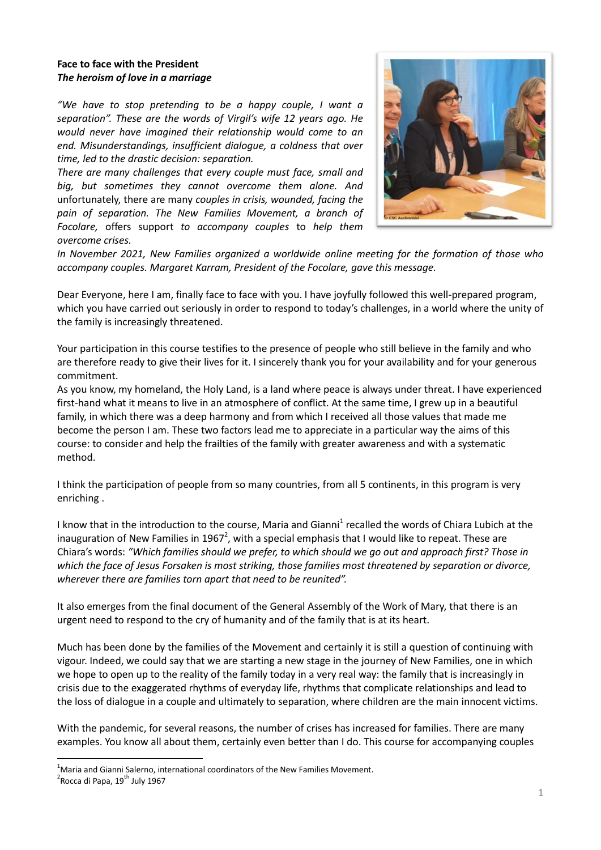## **Face to face with the President** *The heroism of love in a marriage*

*"We have to stop pretending to be a happy couple, I want a separation". These are the words of Virgil's wife 12 years ago. He would never have imagined their relationship would come to an end. Misunderstandings, insufficient dialogue, a coldness that over time, led to the drastic decision: separation.* 

*There are many challenges that every couple must face, small and big, but sometimes they cannot overcome them alone. And*  unfortunately, there are many *couples in crisis, wounded, facing the pain of separation. The New Families Movement, a branch of Focolare,* offers support *to accompany couples* to *help them overcome crises.*



*In November 2021, New Families organized a worldwide online meeting for the formation of those who accompany couples. Margaret Karram, President of the Focolare, gave this message.*

Dear Everyone, here I am, finally face to face with you. I have joyfully followed this well-prepared program, which you have carried out seriously in order to respond to today's challenges, in a world where the unity of the family is increasingly threatened.

Your participation in this course testifies to the presence of people who still believe in the family and who are therefore ready to give their lives for it. I sincerely thank you for your availability and for your generous commitment.

As you know, my homeland, the Holy Land, is a land where peace is always under threat. I have experienced first-hand what it means to live in an atmosphere of conflict. At the same time, I grew up in a beautiful family, in which there was a deep harmony and from which I received all those values that made me become the person I am. These two factors lead me to appreciate in a particular way the aims of this course: to consider and help the frailties of the family with greater awareness and with a systematic method.

I think the participation of people from so many countries, from all 5 continents, in this program is very enriching .

I know that in the introduction to the course, Maria and Gianni<sup>1</sup> recalled the words of Chiara Lubich at the inauguration of New Families in 1967<sup>2</sup>, with a special emphasis that I would like to repeat. These are Chiara's words: *"Which families should we prefer, to which should we go out and approach first? Those in which the face of Jesus Forsaken is most striking, those families most threatened by separation or divorce, wherever there are families torn apart that need to be reunited".*

It also emerges from the final document of the General Assembly of the Work of Mary, that there is an urgent need to respond to the cry of humanity and of the family that is at its heart.

Much has been done by the families of the Movement and certainly it is still a question of continuing with vigour. Indeed, we could say that we are starting a new stage in the journey of New Families, one in which we hope to open up to the reality of the family today in a very real way: the family that is increasingly in crisis due to the exaggerated rhythms of everyday life, rhythms that complicate relationships and lead to the loss of dialogue in a couple and ultimately to separation, where children are the main innocent victims.

With the pandemic, for several reasons, the number of crises has increased for families. There are many examples. You know all about them, certainly even better than I do. This course for accompanying couples

1

 $1$ Maria and Gianni Salerno, international coordinators of the New Families Movement.

<sup>&</sup>lt;sup>2</sup> Rocca di Papa, 19<sup>th</sup> July 1967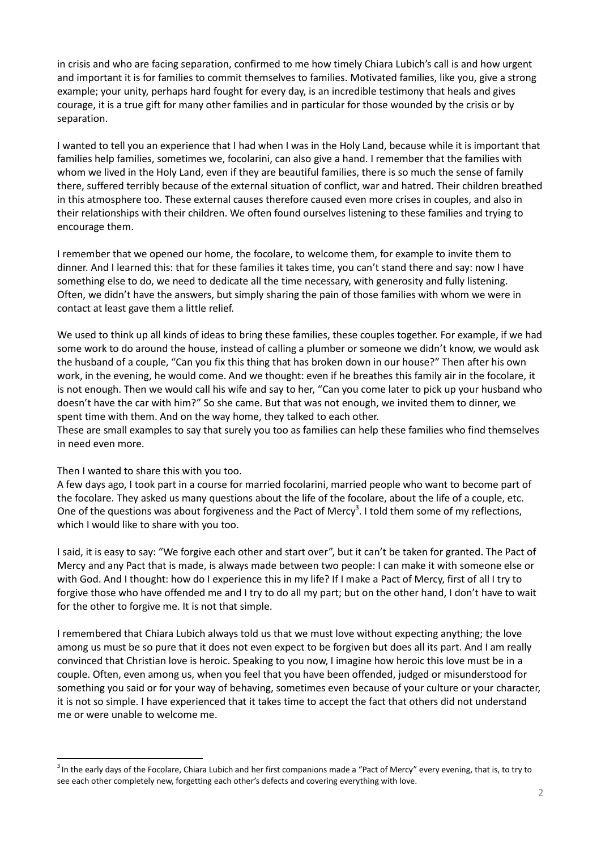in crisis and who are facing separation, confirmed to me how timely Chiara Lubich's call is and how urgent and important it is for families to commit themselves to families. Motivated families, like you, give a strong example; your unity, perhaps hard fought for every day, is an incredible testimony that heals and gives courage, it is a true gift for many other families and in particular for those wounded by the crisis or by separation.

I wanted to tell you an experience that I had when I was in the Holy Land, because while it is important that families help families, sometimes we, focolarini, can also give a hand. I remember that the families with whom we lived in the Holy Land, even if they are beautiful families, there is so much the sense of family there, suffered terribly because of the external situation of conflict, war and hatred. Their children breathed in this atmosphere too. These external causes therefore caused even more crises in couples, and also in their relationships with their children. We often found ourselves listening to these families and trying to encourage them.

I remember that we opened our home, the focolare, to welcome them, for example to invite them to dinner. And I learned this: that for these families it takes time, you can't stand there and say: now I have something else to do, we need to dedicate all the time necessary, with generosity and fully listening. Often, we didn't have the answers, but simply sharing the pain of those families with whom we were in contact at least gave them a little relief.

We used to think up all kinds of ideas to bring these families, these couples together. For example, if we had some work to do around the house, instead of calling a plumber or someone we didn't know, we would ask the husband of a couple, "Can you fix this thing that has broken down in our house?" Then after his own work, in the evening, he would come. And we thought: even if he breathes this family air in the focolare, it is not enough. Then we would call his wife and say to her, "Can you come later to pick up your husband who doesn't have the car with him?" So she came. But that was not enough, we invited them to dinner, we spent time with them. And on the way home, they talked to each other.

These are small examples to say that surely you too as families can help these families who find themselves in need even more.

## Then I wanted to share this with you too.

1

A few days ago, I took part in a course for married focolarini, married people who want to become part of the focolare. They asked us many questions about the life of the focolare, about the life of a couple, etc. One of the questions was about forgiveness and the Pact of Mercy<sup>3</sup>. I told them some of my reflections, which I would like to share with you too.

I said, it is easy to say: "We forgive each other and start over", but it can't be taken for granted. The Pact of Mercy and any Pact that is made, is always made between two people: I can make it with someone else or with God. And I thought: how do I experience this in my life? If I make a Pact of Mercy, first of all I try to forgive those who have offended me and I try to do all my part; but on the other hand, I don't have to wait for the other to forgive me. It is not that simple.

I remembered that Chiara Lubich always told us that we must love without expecting anything; the love among us must be so pure that it does not even expect to be forgiven but does all its part. And I am really convinced that Christian love is heroic. Speaking to you now, I imagine how heroic this love must be in a couple. Often, even among us, when you feel that you have been offended, judged or misunderstood for something you said or for your way of behaving, sometimes even because of your culture or your character, it is not so simple. I have experienced that it takes time to accept the fact that others did not understand me or were unable to welcome me.

 $3$  In the early days of the Focolare, Chiara Lubich and her first companions made a "Pact of Mercy" every evening, that is, to try to see each other completely new, forgetting each other's defects and covering everything with love.